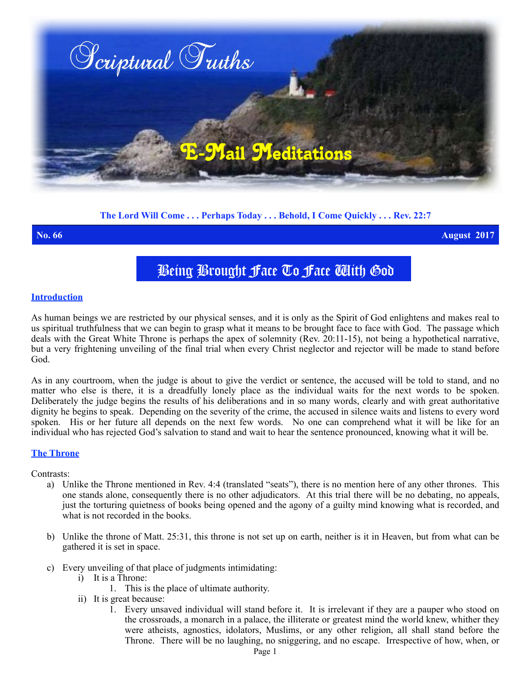

# **The Lord Will Come . . . Perhaps Today . . . Behold, I Come Quickly . . . Rev. 22:7**

**No. 66 August 2017**

# Being Brought Face To Face With God

### **Introduction**

As human beings we are restricted by our physical senses, and it is only as the Spirit of God enlightens and makes real to us spiritual truthfulness that we can begin to grasp what it means to be brought face to face with God. The passage which deals with the Great White Throne is perhaps the apex of solemnity (Rev. 20:11-15), not being a hypothetical narrative, but a very frightening unveiling of the final trial when every Christ neglector and rejector will be made to stand before God.

As in any courtroom, when the judge is about to give the verdict or sentence, the accused will be told to stand, and no matter who else is there, it is a dreadfully lonely place as the individual waits for the next words to be spoken. Deliberately the judge begins the results of his deliberations and in so many words, clearly and with great authoritative dignity he begins to speak. Depending on the severity of the crime, the accused in silence waits and listens to every word spoken. His or her future all depends on the next few words. No one can comprehend what it will be like for an individual who has rejected God's salvation to stand and wait to hear the sentence pronounced, knowing what it will be.

## **The Throne**

Contrasts:

- a) Unlike the Throne mentioned in Rev. 4:4 (translated "seats"), there is no mention here of any other thrones. This one stands alone, consequently there is no other adjudicators. At this trial there will be no debating, no appeals, just the torturing quietness of books being opened and the agony of a guilty mind knowing what is recorded, and what is not recorded in the books.
- b) Unlike the throne of Matt. 25:31, this throne is not set up on earth, neither is it in Heaven, but from what can be gathered it is set in space.
- c) Every unveiling of that place of judgments intimidating:
	- i) It is a Throne:
		- 1. This is the place of ultimate authority.
	- ii) It is great because:
		- 1. Every unsaved individual will stand before it. It is irrelevant if they are a pauper who stood on the crossroads, a monarch in a palace, the illiterate or greatest mind the world knew, whither they were atheists, agnostics, idolators, Muslims, or any other religion, all shall stand before the Throne. There will be no laughing, no sniggering, and no escape. Irrespective of how, when, or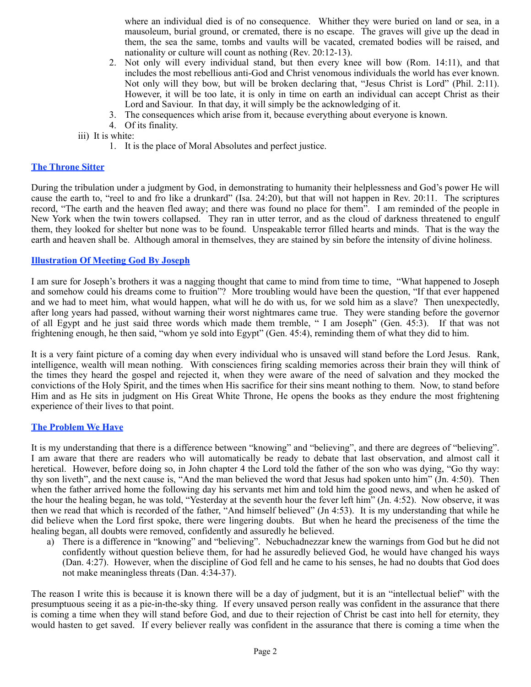where an individual died is of no consequence.Whither they were buried on land or sea, in a mausoleum, burial ground, or cremated, there is no escape. The graves will give up the dead in them, the sea the same, tombs and vaults will be vacated, cremated bodies will be raised, and nationality or culture will count as nothing (Rev. 20:12-13).

- 2. Not only will every individual stand, but then every knee will bow (Rom. 14:11), and that includes the most rebellious anti-God and Christ venomous individuals the world has ever known. Not only will they bow, but will be broken declaring that, "Jesus Christ is Lord" (Phil. 2:11). However, it will be too late, it is only in time on earth an individual can accept Christ as their Lord and Saviour. In that day, it will simply be the acknowledging of it.
- 3. The consequences which arise from it, because everything about everyone is known.
- 4. Of its finality.

iii) It is white:

1. It is the place of Moral Absolutes and perfect justice.

# **The Throne Sitter**

During the tribulation under a judgment by God, in demonstrating to humanity their helplessness and God's power He will cause the earth to, "reel to and fro like a drunkard" (Isa. 24:20), but that will not happen in Rev. 20:11. The scriptures record, "The earth and the heaven fled away; and there was found no place for them". I am reminded of the people in New York when the twin towers collapsed. They ran in utter terror, and as the cloud of darkness threatened to engulf them, they looked for shelter but none was to be found. Unspeakable terror filled hearts and minds. That is the way the earth and heaven shall be. Although amoral in themselves, they are stained by sin before the intensity of divine holiness.

### **Illustration Of Meeting God By Joseph**

I am sure for Joseph's brothers it was a nagging thought that came to mind from time to time, "What happened to Joseph and somehow could his dreams come to fruition"? More troubling would have been the question, "If that ever happened and we had to meet him, what would happen, what will he do with us, for we sold him as a slave? Then unexpectedly, after long years had passed, without warning their worst nightmares came true. They were standing before the governor of all Egypt and he just said three words which made them tremble, " I am Joseph" (Gen. 45:3). If that was not frightening enough, he then said, "whom ye sold into Egypt" (Gen. 45:4), reminding them of what they did to him.

It is a very faint picture of a coming day when every individual who is unsaved will stand before the Lord Jesus. Rank, intelligence, wealth will mean nothing. With consciences firing scalding memories across their brain they will think of the times they heard the gospel and rejected it, when they were aware of the need of salvation and they mocked the convictions of the Holy Spirit, and the times when His sacrifice for their sins meant nothing to them. Now, to stand before Him and as He sits in judgment on His Great White Throne, He opens the books as they endure the most frightening experience of their lives to that point.

### **The Problem We Have**

It is my understanding that there is a difference between "knowing" and "believing", and there are degrees of "believing". I am aware that there are readers who will automatically be ready to debate that last observation, and almost call it heretical. However, before doing so, in John chapter 4 the Lord told the father of the son who was dying, "Go thy way: thy son liveth", and the next cause is, "And the man believed the word that Jesus had spoken unto him" (Jn. 4:50). Then when the father arrived home the following day his servants met him and told him the good news, and when he asked of the hour the healing began, he was told, "Yesterday at the seventh hour the fever left him" (Jn. 4:52). Now observe, it was then we read that which is recorded of the father, "And himself believed" (Jn 4:53). It is my understanding that while he did believe when the Lord first spoke, there were lingering doubts. But when he heard the preciseness of the time the healing began, all doubts were removed, confidently and assuredly he believed.

a) There is a difference in "knowing" and "believing". Nebuchadnezzar knew the warnings from God but he did not confidently without question believe them, for had he assuredly believed God, he would have changed his ways (Dan. 4:27). However, when the discipline of God fell and he came to his senses, he had no doubts that God does not make meaningless threats (Dan. 4:34-37).

The reason I write this is because it is known there will be a day of judgment, but it is an "intellectual belief" with the presumptuous seeing it as a pie-in-the-sky thing. If every unsaved person really was confident in the assurance that there is coming a time when they will stand before God, and due to their rejection of Christ be cast into hell for eternity, they would hasten to get saved. If every believer really was confident in the assurance that there is coming a time when the